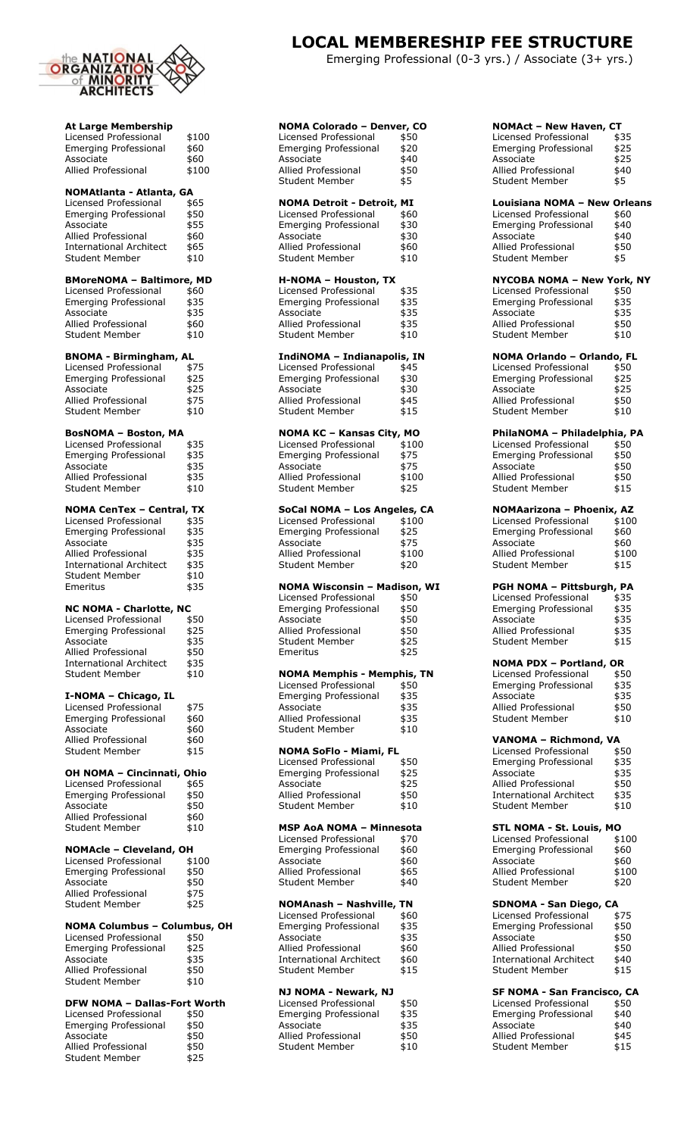

| <b>At Large Membership</b>                                |                      |
|-----------------------------------------------------------|----------------------|
| Licensed Professional                                     | \$100                |
| <b>Emerging Professional</b>                              | \$60                 |
| Associate                                                 | \$60                 |
| <b>Allied Professional</b>                                | \$100                |
| NOMAtlanta - Atlanta, GA                                  |                      |
| Licensed Professional                                     | \$65                 |
| <b>Emerging Professional</b>                              | \$50                 |
| Associate<br><b>Allied Professional</b>                   | \$55<br>\$60         |
| <b>International Architect</b>                            | \$65                 |
| <b>Student Member</b>                                     | \$10                 |
| <b>BMoreNOMA - Baltimore, MD</b>                          |                      |
| Licensed Professional                                     | \$60                 |
| <b>Emerging Professional</b>                              | \$35                 |
| Associate                                                 | \$35                 |
| Allied Professional<br><b>Student Member</b>              | \$60<br>\$10         |
|                                                           |                      |
| <b>BNOMA - Birmingham, AL</b>                             |                      |
| Licensed Professional                                     | \$75                 |
| <b>Emerging Professional</b><br>Associate                 | \$25<br>\$25         |
| <b>Allied Professional</b>                                | \$75                 |
| <b>Student Member</b>                                     | \$10                 |
|                                                           |                      |
| <b>BosNOMA - Boston, MA</b><br>Licensed Professional      | \$35                 |
| <b>Emerging Professional</b>                              | \$35                 |
| Associate                                                 | \$35                 |
| Allied Professional                                       | \$35                 |
| Student Member                                            | \$10                 |
| <b>NOMA CenTex - Central, TX</b>                          |                      |
| Licensed Professional                                     | \$35                 |
| <b>Emerging Professional</b>                              | \$35                 |
| Associate<br><b>Allied Professional</b>                   | \$35<br>\$35         |
| <b>International Architect</b>                            | \$35                 |
| <b>Student Member</b>                                     | \$10                 |
|                                                           |                      |
| Emeritus                                                  | \$35                 |
|                                                           |                      |
| <b>NC NOMA - Charlotte, NC</b><br>Licensed Professional   |                      |
| <b>Emerging Professional</b>                              | \$50<br>\$25         |
| Associate                                                 | \$35                 |
| <b>Allied Professional</b>                                | \$50                 |
| <b>International Architect</b><br><b>Student Member</b>   | \$35<br>\$10         |
|                                                           |                      |
| I-NOMA - Chicago, IL                                      |                      |
| Licensed Professional                                     | \$75                 |
| <b>Emerging Professional</b><br>Associate                 | \$60<br>\$60         |
| Allied Professional                                       | \$60                 |
| <b>Student Member</b>                                     | \$15                 |
|                                                           |                      |
| OH NOMA - Cincinnati, Ohio<br>Licensed Professional       | \$65                 |
| <b>Emerging Professional</b>                              | \$50                 |
| Associate                                                 | \$50                 |
| <b>Allied Professional</b><br><b>Student Member</b>       | \$60<br>\$10         |
|                                                           |                      |
| NOMAcle - Cleveland, OH                                   |                      |
| Licensed Professional                                     | \$100                |
| <b>Emerging Professional</b><br>Associate                 | \$50<br>\$50         |
| <b>Allied Professional</b>                                | \$75                 |
| <b>Student Member</b>                                     | \$25                 |
| <b>NOMA Columbus - Columbus, OH</b>                       |                      |
| Licensed Professional                                     | \$50                 |
| <b>Emerging Professional</b>                              | \$25                 |
| Associate                                                 | \$35                 |
| Allied Professional<br>Student Member                     | \$50                 |
|                                                           | \$10                 |
| <b>DFW NOMA - Dallas-Fort Worth</b>                       |                      |
| Licensed Professional                                     | \$50                 |
| <b>Emerging Professional</b>                              | \$50                 |
| Associate<br>Allied Professional<br><b>Student Member</b> | \$50<br>\$50<br>\$25 |

## **LOCAL MEMBERESHIP FEE STRUCTURE**

Emerging Professional (0-3 yrs.) / Associate (3+ yrs.)

| NOMA Colorado - Denver, CO                                   |              |
|--------------------------------------------------------------|--------------|
| Licensed Professional                                        | \$50         |
| <b>Emerging Professional</b>                                 | \$20         |
| Associate<br><b>Allied Professional</b>                      | \$40<br>\$50 |
| <b>Student Member</b>                                        | \$5          |
|                                                              |              |
| <b>NOMA Detroit - Detroit, MI</b>                            |              |
| Licensed Professional                                        | \$60         |
| <b>Emerging Professional</b>                                 | \$30         |
| Associate                                                    | \$30         |
| Allied Professional<br><b>Student Member</b>                 | \$60<br>\$10 |
|                                                              |              |
| H-NOMA - Houston, TX                                         |              |
| Licensed Professional                                        | \$35         |
| <b>Emerging Professional</b>                                 | \$35         |
| Associate                                                    | \$35         |
| <b>Allied Professional</b>                                   | \$35         |
| Student Member                                               | \$10         |
| IndiNOMA - Indianapolis, IN                                  |              |
| Licensed Professional                                        | \$45         |
| <b>Emerging Professional</b>                                 | \$30         |
| Associate                                                    | \$30         |
| Allied Professional                                          | \$45         |
| <b>Student Member</b>                                        | \$15         |
| <b>NOMA KC - Kansas City, MO</b>                             |              |
| Licensed Professional                                        | \$100        |
| <b>Emerging Professional</b>                                 | \$75         |
| Associate                                                    | \$75         |
| Allied Professional                                          | \$100        |
| <b>Student Member</b>                                        | \$25         |
| SoCal NOMA - Los Angeles, CA                                 |              |
| Licensed Professional                                        | \$100        |
| <b>Emerging Professional</b>                                 | \$25         |
| Associate                                                    | \$75         |
| <b>Allied Professional</b>                                   | \$100        |
| <b>Student Member</b>                                        | \$20         |
|                                                              |              |
|                                                              |              |
| <b>NOMA Wisconsin - Madison, WI</b><br>Licensed Professional |              |
| <b>Emerging Professional</b>                                 | \$50<br>\$50 |
| Associate                                                    | \$50         |
| Allied Professional                                          | \$50         |
| <b>Student Member</b>                                        | \$25         |
| Emeritus                                                     | \$25         |
|                                                              |              |
| NOMA Memphis - Memphis, TN<br>Licensed Professional          | \$50         |
| <b>Emerging Professional</b>                                 | \$35         |
| Associate                                                    | \$35         |
| <b>Allied Professional</b>                                   | \$35         |
| Student Member                                               | \$10         |
|                                                              |              |
| <b>NOMA SoFlo - Miami, FL</b><br>Licensed Professional       | \$50         |
| <b>Emerging Professional</b>                                 | \$25         |
| Associate                                                    | \$25         |
| Allied Professional                                          | \$50         |
| <b>Student Member</b>                                        | \$10         |
|                                                              |              |
| MSP AoA NOMA - Minnesota<br>Licensed Professional            | \$70         |
| <b>Emerging Professional</b>                                 | \$60         |
| Associate                                                    | \$60         |
| <b>Allied Professional</b>                                   | \$65         |
| <b>Student Member</b>                                        | \$40         |
| NOMAnash - Nashville, TN                                     |              |
| Licensed Professional                                        | \$60         |
| <b>Emerging Professional</b>                                 | \$35         |
| Associate                                                    | \$35         |
| Allied Professional                                          | \$60         |
| <b>International Architect</b>                               | \$60         |
| <b>Student Member</b>                                        | \$15         |
| NJ NOMA - Newark, NJ                                         |              |
| Licensed Professional                                        | \$50         |
| <b>Emerging Professional</b>                                 | \$35         |
| Associate<br><b>Allied Professional</b>                      | \$35<br>\$50 |

| <b>NOMAct - New Haven, CT</b>                                       |               |
|---------------------------------------------------------------------|---------------|
| Licensed Professional                                               | \$35          |
| <b>Emerging Professional</b><br>Associate                           | \$25<br>\$25  |
| <b>Allied Professional</b>                                          | \$40          |
| <b>Student Member</b>                                               | \$5           |
| <b>Louisiana NOMA - New Orleans</b><br><b>Licensed Professional</b> |               |
| <b>Emerging Professional</b>                                        | \$60<br>\$40  |
| Associate                                                           | \$40          |
| <b>Allied Professional</b><br><b>Student Member</b>                 | \$50<br>\$5   |
|                                                                     |               |
| <b>NYCOBA NOMA - New York, NY</b><br><b>Licensed Professional</b>   | \$50          |
| <b>Emerging Professional</b>                                        | \$35          |
| Associate<br><b>Allied Professional</b>                             | \$35<br>\$50  |
| <b>Student Member</b>                                               | \$10          |
| NOMA Orlando - Orlando, FL                                          |               |
| Licensed Professional<br><b>Emerging Professional</b>               | \$50<br>\$25  |
| Associate                                                           | \$25          |
| <b>Allied Professional</b>                                          | \$50          |
| <b>Student Member</b>                                               | \$10          |
| PhilaNOMA - Philadelphia, PA<br>Licensed Professional               | \$50          |
| <b>Emerging Professional</b>                                        | \$50          |
| Associate                                                           | \$50          |
| <b>Allied Professional</b><br><b>Student Member</b>                 | \$50<br>\$15  |
| NOMAarizona - Phoenix, AZ                                           |               |
| Licensed Professional                                               | \$100         |
| <b>Emerging Professional</b>                                        | \$60          |
| Associate<br><b>Allied Professional</b>                             | \$60<br>\$100 |
| <b>Student Member</b>                                               | \$15          |
| PGH NOMA - Pittsburgh, PA                                           |               |
| Licensed Professional<br><b>Emerging Professional</b>               | \$35<br>\$35  |
| Associate                                                           | \$35          |
| <b>Allied Professional</b>                                          | \$35          |
| <b>Student Member</b>                                               | \$15          |
| <b>NOMA PDX - Portland, OR</b><br>Licensed Professional             | \$50          |
| <b>Emerging Professional</b>                                        | \$35          |
| Associate                                                           | \$35          |
| <b>Allied Professional</b><br><b>Student Member</b>                 | \$50<br>\$10  |
|                                                                     |               |
| VANOMA - Richmond, VA<br>Licensed Professional                      | \$50          |
| <b>Emerging Professional</b>                                        | \$35          |
| Associate<br>Allied Professional                                    | \$35<br>\$50  |
| <b>International Architect</b>                                      | \$35          |
| <b>Student Member</b>                                               | \$10          |
| STL NOMA - St. Louis, MO                                            |               |
| Licensed Professional<br><b>Emerging Professional</b>               | \$100<br>\$60 |
| Associate                                                           | \$60          |
| Allied Professional<br><b>Student Member</b>                        | \$100<br>\$20 |
| SDNOMA - San Diego, CA                                              |               |
| Licensed Professional                                               | \$75          |
| <b>Emerging Professional</b>                                        | \$50          |
| Associate<br>Allied Professional                                    | \$50<br>\$50  |
| <b>International Architect</b>                                      | \$40          |
| <b>Student Member</b>                                               | \$15          |
| SF NOMA - San Francisco, CA                                         | \$50          |
| Licensed Professional<br><b>Emerging Professional</b>               | \$40          |
| Associate                                                           | \$40          |
| Allied Professional<br><b>Student Member</b>                        | \$45<br>\$15  |